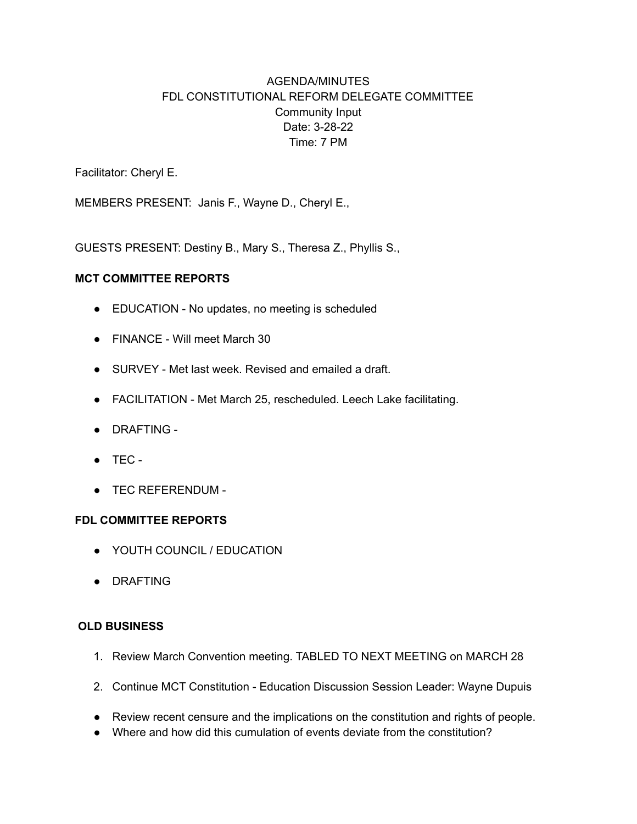# AGENDA/MINUTES FDL CONSTITUTIONAL REFORM DELEGATE COMMITTEE Community Input Date: 3-28-22 Time: 7 PM

Facilitator: Cheryl E.

MEMBERS PRESENT: Janis F., Wayne D., Cheryl E.,

GUESTS PRESENT: Destiny B., Mary S., Theresa Z., Phyllis S.,

### **MCT COMMITTEE REPORTS**

- EDUCATION No updates, no meeting is scheduled
- FINANCE Will meet March 30
- SURVEY Met last week. Revised and emailed a draft.
- FACILITATION Met March 25, rescheduled. Leech Lake facilitating.
- DRAFTING -
- TEC -
- TEC REFERENDUM -

### **FDL COMMITTEE REPORTS**

- YOUTH COUNCIL / EDUCATION
- DRAFTING

### **OLD BUSINESS**

- 1. Review March Convention meeting. TABLED TO NEXT MEETING on MARCH 28
- 2. Continue MCT Constitution Education Discussion Session Leader: Wayne Dupuis
- Review recent censure and the implications on the constitution and rights of people.
- Where and how did this cumulation of events deviate from the constitution?